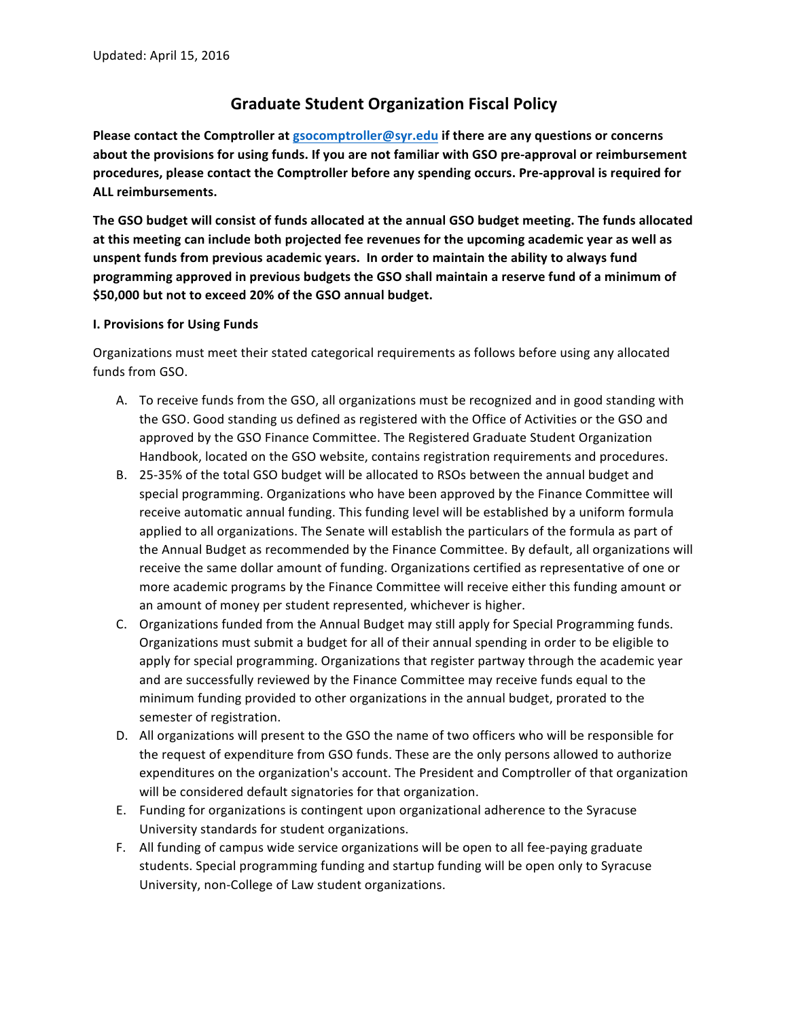# **Graduate Student Organization Fiscal Policy**

**Please contact the Comptroller at gsocomptroller@syr.edu if there are any questions or concerns** about the provisions for using funds. If you are not familiar with GSO pre-approval or reimbursement procedures, please contact the Comptroller before any spending occurs. Pre-approval is required for **ALL reimbursements.**

The GSO budget will consist of funds allocated at the annual GSO budget meeting. The funds allocated at this meeting can include both projected fee revenues for the upcoming academic year as well as unspent funds from previous academic years. In order to maintain the ability to always fund programming approved in previous budgets the GSO shall maintain a reserve fund of a minimum of \$50,000 but not to exceed 20% of the GSO annual budget.

## **I. Provisions for Using Funds**

Organizations must meet their stated categorical requirements as follows before using any allocated funds from GSO.

- A. To receive funds from the GSO, all organizations must be recognized and in good standing with the GSO. Good standing us defined as registered with the Office of Activities or the GSO and approved by the GSO Finance Committee. The Registered Graduate Student Organization Handbook, located on the GSO website, contains registration requirements and procedures.
- B. 25-35% of the total GSO budget will be allocated to RSOs between the annual budget and special programming. Organizations who have been approved by the Finance Committee will receive automatic annual funding. This funding level will be established by a uniform formula applied to all organizations. The Senate will establish the particulars of the formula as part of the Annual Budget as recommended by the Finance Committee. By default, all organizations will receive the same dollar amount of funding. Organizations certified as representative of one or more academic programs by the Finance Committee will receive either this funding amount or an amount of money per student represented, whichever is higher.
- C. Organizations funded from the Annual Budget may still apply for Special Programming funds. Organizations must submit a budget for all of their annual spending in order to be eligible to apply for special programming. Organizations that register partway through the academic year and are successfully reviewed by the Finance Committee may receive funds equal to the minimum funding provided to other organizations in the annual budget, prorated to the semester of registration.
- D. All organizations will present to the GSO the name of two officers who will be responsible for the request of expenditure from GSO funds. These are the only persons allowed to authorize expenditures on the organization's account. The President and Comptroller of that organization will be considered default signatories for that organization.
- E. Funding for organizations is contingent upon organizational adherence to the Syracuse University standards for student organizations.
- F. All funding of campus wide service organizations will be open to all fee-paying graduate students. Special programming funding and startup funding will be open only to Syracuse University, non-College of Law student organizations.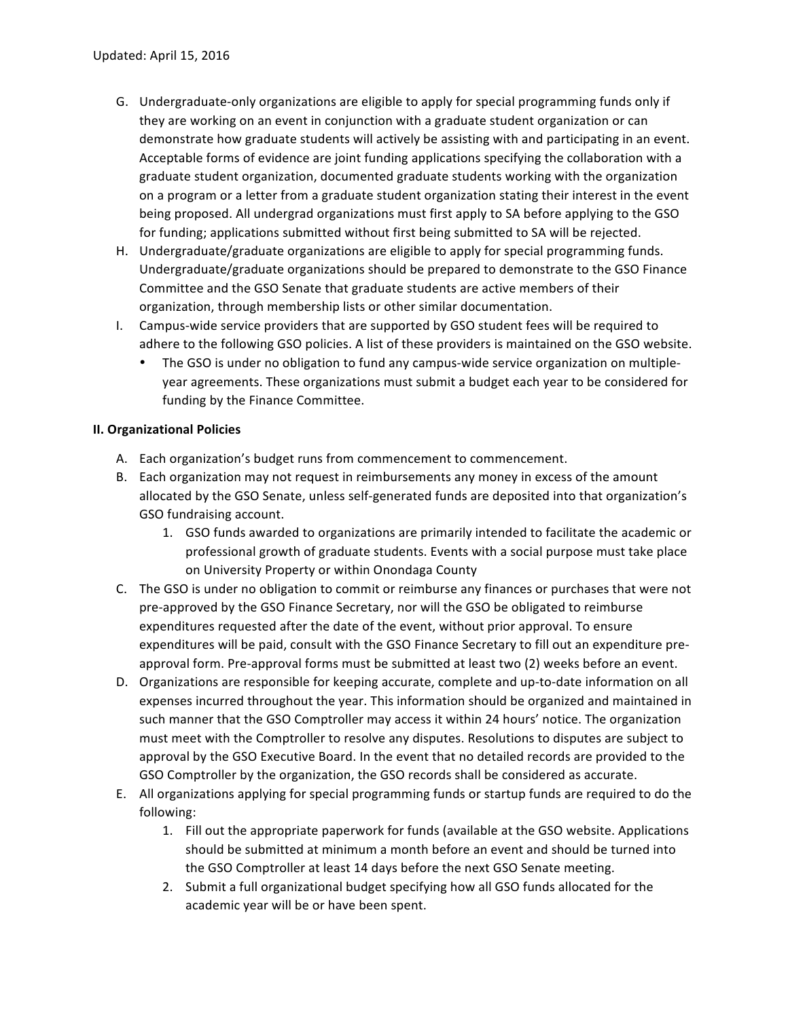- G. Undergraduate-only organizations are eligible to apply for special programming funds only if they are working on an event in conjunction with a graduate student organization or can demonstrate how graduate students will actively be assisting with and participating in an event. Acceptable forms of evidence are joint funding applications specifying the collaboration with a graduate student organization, documented graduate students working with the organization on a program or a letter from a graduate student organization stating their interest in the event being proposed. All undergrad organizations must first apply to SA before applying to the GSO for funding; applications submitted without first being submitted to SA will be rejected.
- H. Undergraduate/graduate organizations are eligible to apply for special programming funds. Undergraduate/graduate organizations should be prepared to demonstrate to the GSO Finance Committee and the GSO Senate that graduate students are active members of their organization, through membership lists or other similar documentation.
- I. Campus-wide service providers that are supported by GSO student fees will be required to adhere to the following GSO policies. A list of these providers is maintained on the GSO website.
	- The GSO is under no obligation to fund any campus-wide service organization on multipleyear agreements. These organizations must submit a budget each year to be considered for funding by the Finance Committee.

## **II. Organizational Policies**

- A. Each organization's budget runs from commencement to commencement.
- B. Each organization may not request in reimbursements any money in excess of the amount allocated by the GSO Senate, unless self-generated funds are deposited into that organization's GSO fundraising account.
	- 1. GSO funds awarded to organizations are primarily intended to facilitate the academic or professional growth of graduate students. Events with a social purpose must take place on University Property or within Onondaga County
- C. The GSO is under no obligation to commit or reimburse any finances or purchases that were not pre-approved by the GSO Finance Secretary, nor will the GSO be obligated to reimburse expenditures requested after the date of the event, without prior approval. To ensure expenditures will be paid, consult with the GSO Finance Secretary to fill out an expenditure preapproval form. Pre-approval forms must be submitted at least two (2) weeks before an event.
- D. Organizations are responsible for keeping accurate, complete and up-to-date information on all expenses incurred throughout the year. This information should be organized and maintained in such manner that the GSO Comptroller may access it within 24 hours' notice. The organization must meet with the Comptroller to resolve any disputes. Resolutions to disputes are subject to approval by the GSO Executive Board. In the event that no detailed records are provided to the GSO Comptroller by the organization, the GSO records shall be considered as accurate.
- E. All organizations applying for special programming funds or startup funds are required to do the following:
	- 1. Fill out the appropriate paperwork for funds (available at the GSO website. Applications should be submitted at minimum a month before an event and should be turned into the GSO Comptroller at least 14 days before the next GSO Senate meeting.
	- 2. Submit a full organizational budget specifying how all GSO funds allocated for the academic year will be or have been spent.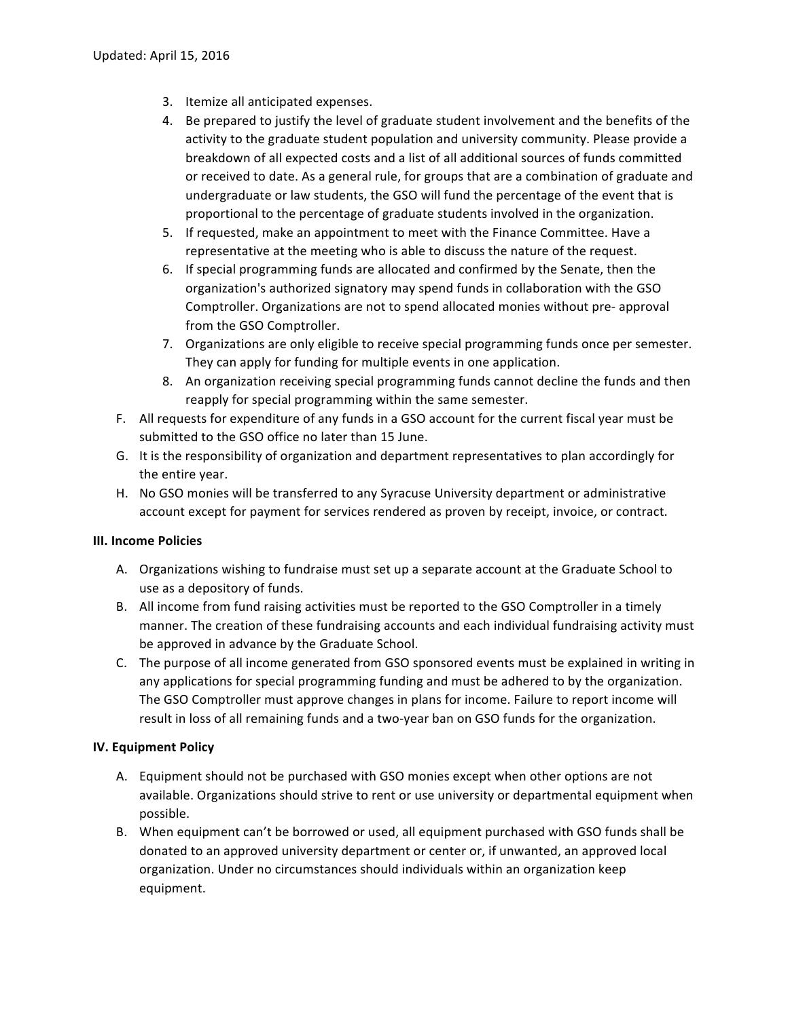- 3. Itemize all anticipated expenses.
- 4. Be prepared to justify the level of graduate student involvement and the benefits of the activity to the graduate student population and university community. Please provide a breakdown of all expected costs and a list of all additional sources of funds committed or received to date. As a general rule, for groups that are a combination of graduate and undergraduate or law students, the GSO will fund the percentage of the event that is proportional to the percentage of graduate students involved in the organization.
- 5. If requested, make an appointment to meet with the Finance Committee. Have a representative at the meeting who is able to discuss the nature of the request.
- 6. If special programming funds are allocated and confirmed by the Senate, then the organization's authorized signatory may spend funds in collaboration with the GSO Comptroller. Organizations are not to spend allocated monies without pre- approval from the GSO Comptroller.
- 7. Organizations are only eligible to receive special programming funds once per semester. They can apply for funding for multiple events in one application.
- 8. An organization receiving special programming funds cannot decline the funds and then reapply for special programming within the same semester.
- F. All requests for expenditure of any funds in a GSO account for the current fiscal year must be submitted to the GSO office no later than 15 June.
- G. It is the responsibility of organization and department representatives to plan accordingly for the entire year.
- H. No GSO monies will be transferred to any Syracuse University department or administrative account except for payment for services rendered as proven by receipt, invoice, or contract.

## **III. Income Policies**

- A. Organizations wishing to fundraise must set up a separate account at the Graduate School to use as a depository of funds.
- B. All income from fund raising activities must be reported to the GSO Comptroller in a timely manner. The creation of these fundraising accounts and each individual fundraising activity must be approved in advance by the Graduate School.
- C. The purpose of all income generated from GSO sponsored events must be explained in writing in any applications for special programming funding and must be adhered to by the organization. The GSO Comptroller must approve changes in plans for income. Failure to report income will result in loss of all remaining funds and a two-year ban on GSO funds for the organization.

## **IV. Equipment Policy**

- A. Equipment should not be purchased with GSO monies except when other options are not available. Organizations should strive to rent or use university or departmental equipment when possible.
- B. When equipment can't be borrowed or used, all equipment purchased with GSO funds shall be donated to an approved university department or center or, if unwanted, an approved local organization. Under no circumstances should individuals within an organization keep equipment.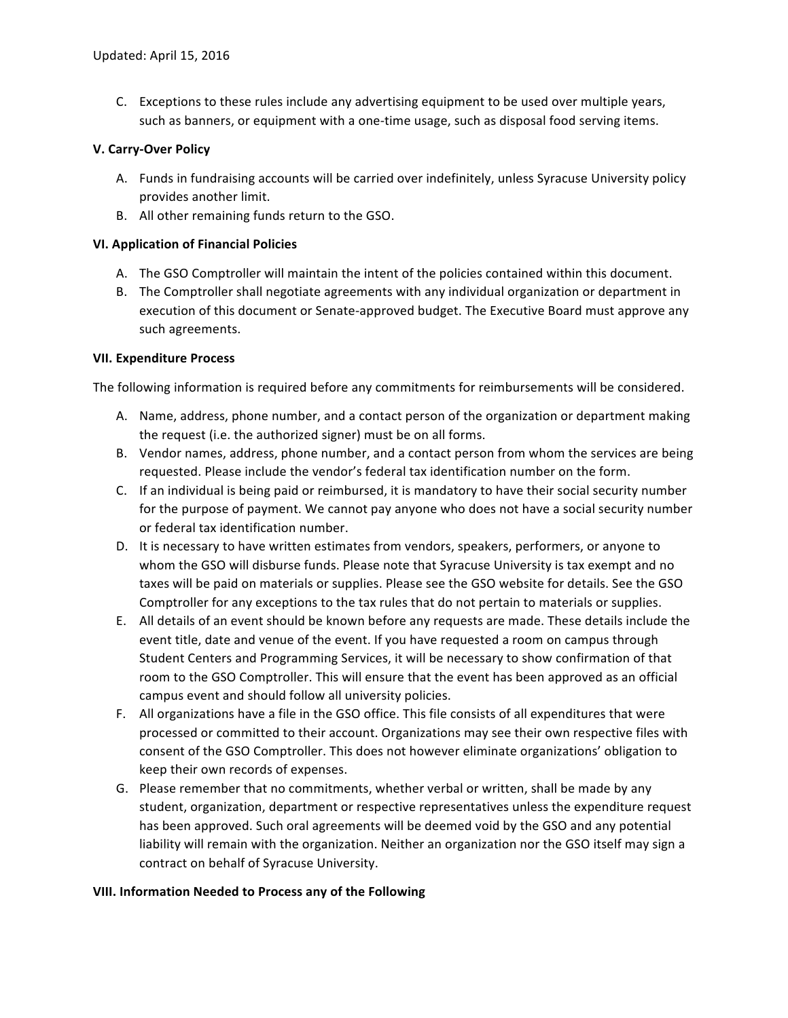C. Exceptions to these rules include any advertising equipment to be used over multiple years, such as banners, or equipment with a one-time usage, such as disposal food serving items.

## **V. Carry-Over Policy**

- A. Funds in fundraising accounts will be carried over indefinitely, unless Syracuse University policy provides another limit.
- B. All other remaining funds return to the GSO.

## **VI. Application of Financial Policies**

- A. The GSO Comptroller will maintain the intent of the policies contained within this document.
- B. The Comptroller shall negotiate agreements with any individual organization or department in execution of this document or Senate-approved budget. The Executive Board must approve any such agreements.

## **VII. Expenditure Process**

The following information is required before any commitments for reimbursements will be considered.

- A. Name, address, phone number, and a contact person of the organization or department making the request (i.e. the authorized signer) must be on all forms.
- B. Vendor names, address, phone number, and a contact person from whom the services are being requested. Please include the vendor's federal tax identification number on the form.
- C. If an individual is being paid or reimbursed, it is mandatory to have their social security number for the purpose of payment. We cannot pay anyone who does not have a social security number or federal tax identification number.
- D. It is necessary to have written estimates from vendors, speakers, performers, or anyone to whom the GSO will disburse funds. Please note that Syracuse University is tax exempt and no taxes will be paid on materials or supplies. Please see the GSO website for details. See the GSO Comptroller for any exceptions to the tax rules that do not pertain to materials or supplies.
- E. All details of an event should be known before any requests are made. These details include the event title, date and venue of the event. If you have requested a room on campus through Student Centers and Programming Services, it will be necessary to show confirmation of that room to the GSO Comptroller. This will ensure that the event has been approved as an official campus event and should follow all university policies.
- F. All organizations have a file in the GSO office. This file consists of all expenditures that were processed or committed to their account. Organizations may see their own respective files with consent of the GSO Comptroller. This does not however eliminate organizations' obligation to keep their own records of expenses.
- G. Please remember that no commitments, whether verbal or written, shall be made by any student, organization, department or respective representatives unless the expenditure request has been approved. Such oral agreements will be deemed void by the GSO and any potential liability will remain with the organization. Neither an organization nor the GSO itself may sign a contract on behalf of Syracuse University.

## **VIII. Information Needed to Process any of the Following**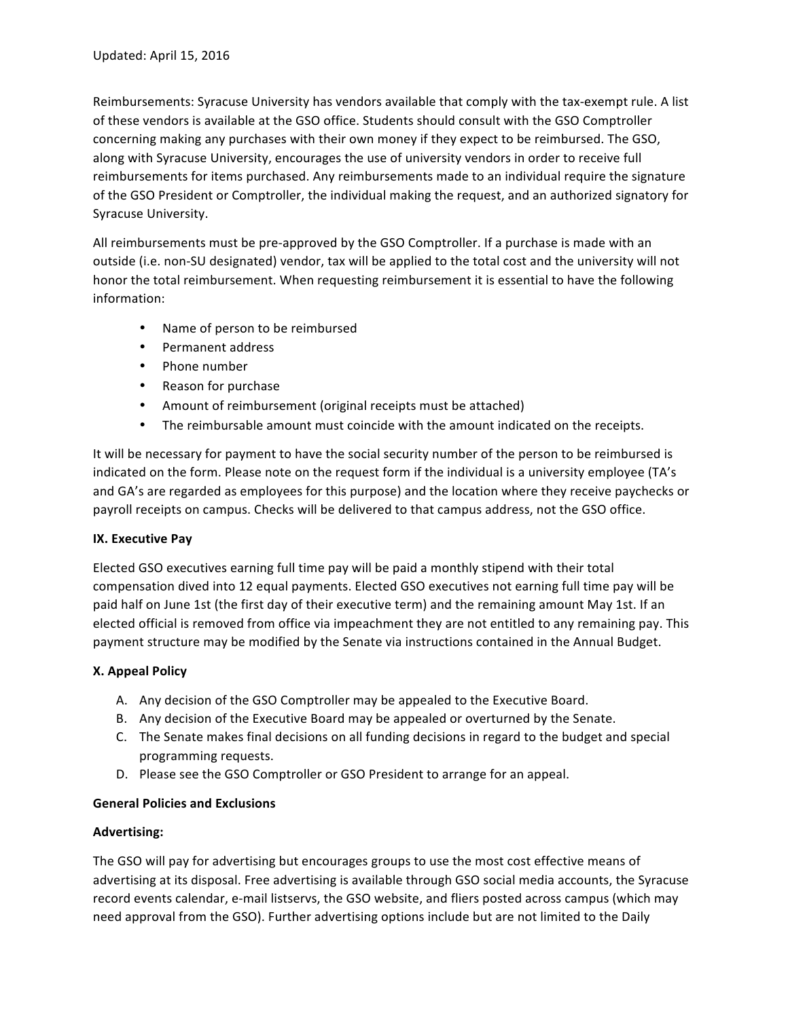Reimbursements: Syracuse University has vendors available that comply with the tax-exempt rule. A list of these vendors is available at the GSO office. Students should consult with the GSO Comptroller concerning making any purchases with their own money if they expect to be reimbursed. The GSO, along with Syracuse University, encourages the use of university vendors in order to receive full reimbursements for items purchased. Any reimbursements made to an individual require the signature of the GSO President or Comptroller, the individual making the request, and an authorized signatory for Syracuse University.

All reimbursements must be pre-approved by the GSO Comptroller. If a purchase is made with an outside (i.e. non-SU designated) vendor, tax will be applied to the total cost and the university will not honor the total reimbursement. When requesting reimbursement it is essential to have the following information:

- Name of person to be reimbursed
- Permanent address
- Phone number
- Reason for purchase
- Amount of reimbursement (original receipts must be attached)
- The reimbursable amount must coincide with the amount indicated on the receipts.

It will be necessary for payment to have the social security number of the person to be reimbursed is indicated on the form. Please note on the request form if the individual is a university employee (TA's and GA's are regarded as employees for this purpose) and the location where they receive paychecks or payroll receipts on campus. Checks will be delivered to that campus address, not the GSO office.

# **IX.** Executive Pay

Elected GSO executives earning full time pay will be paid a monthly stipend with their total compensation dived into 12 equal payments. Elected GSO executives not earning full time pay will be paid half on June 1st (the first day of their executive term) and the remaining amount May 1st. If an elected official is removed from office via impeachment they are not entitled to any remaining pay. This payment structure may be modified by the Senate via instructions contained in the Annual Budget.

# **X. Appeal Policy**

- A. Any decision of the GSO Comptroller may be appealed to the Executive Board.
- B. Any decision of the Executive Board may be appealed or overturned by the Senate.
- C. The Senate makes final decisions on all funding decisions in regard to the budget and special programming requests.
- D. Please see the GSO Comptroller or GSO President to arrange for an appeal.

## **General Policies and Exclusions**

## **Advertising:**

The GSO will pay for advertising but encourages groups to use the most cost effective means of advertising at its disposal. Free advertising is available through GSO social media accounts, the Syracuse record events calendar, e-mail listservs, the GSO website, and fliers posted across campus (which may need approval from the GSO). Further advertising options include but are not limited to the Daily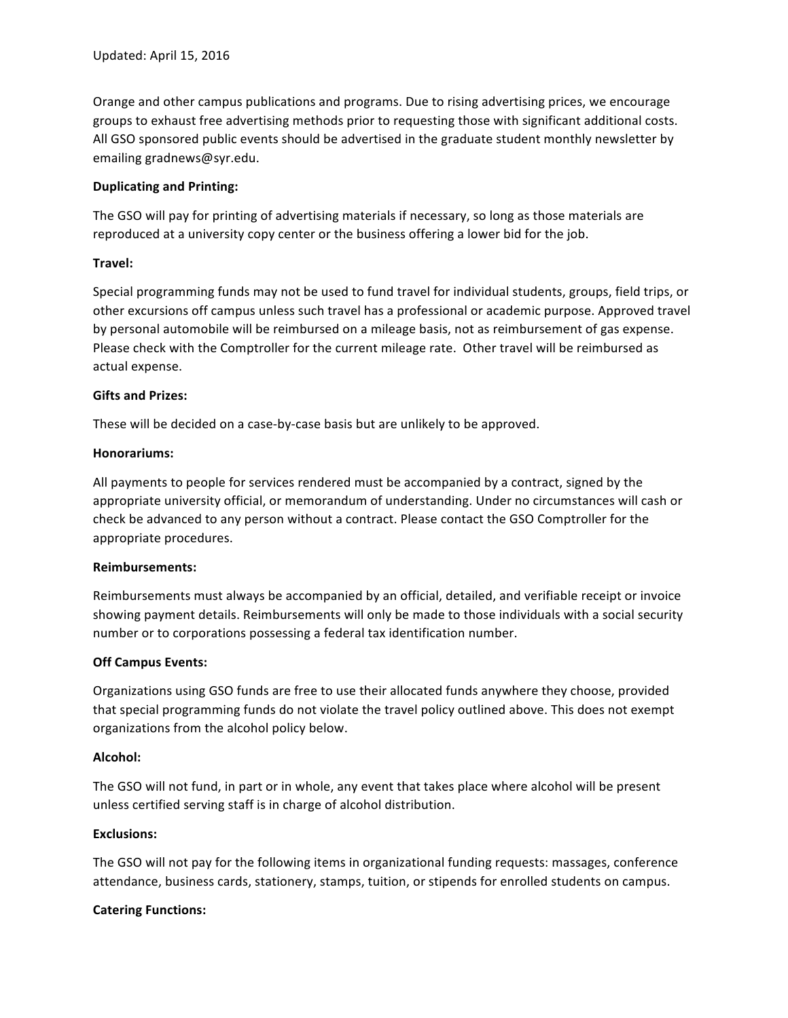Orange and other campus publications and programs. Due to rising advertising prices, we encourage groups to exhaust free advertising methods prior to requesting those with significant additional costs. All GSO sponsored public events should be advertised in the graduate student monthly newsletter by emailing gradnews@syr.edu.

#### **Duplicating and Printing:**

The GSO will pay for printing of advertising materials if necessary, so long as those materials are reproduced at a university copy center or the business offering a lower bid for the job.

## **Travel:**

Special programming funds may not be used to fund travel for individual students, groups, field trips, or other excursions off campus unless such travel has a professional or academic purpose. Approved travel by personal automobile will be reimbursed on a mileage basis, not as reimbursement of gas expense. Please check with the Comptroller for the current mileage rate. Other travel will be reimbursed as actual expense.

#### **Gifts and Prizes:**

These will be decided on a case-by-case basis but are unlikely to be approved.

#### **Honorariums:**

All payments to people for services rendered must be accompanied by a contract, signed by the appropriate university official, or memorandum of understanding. Under no circumstances will cash or check be advanced to any person without a contract. Please contact the GSO Comptroller for the appropriate procedures.

#### **Reimbursements:**

Reimbursements must always be accompanied by an official, detailed, and verifiable receipt or invoice showing payment details. Reimbursements will only be made to those individuals with a social security number or to corporations possessing a federal tax identification number.

#### **Off Campus Events:**

Organizations using GSO funds are free to use their allocated funds anywhere they choose, provided that special programming funds do not violate the travel policy outlined above. This does not exempt organizations from the alcohol policy below.

#### **Alcohol:**

The GSO will not fund, in part or in whole, any event that takes place where alcohol will be present unless certified serving staff is in charge of alcohol distribution.

#### **Exclusions:**

The GSO will not pay for the following items in organizational funding requests: massages, conference attendance, business cards, stationery, stamps, tuition, or stipends for enrolled students on campus.

#### **Catering Functions:**